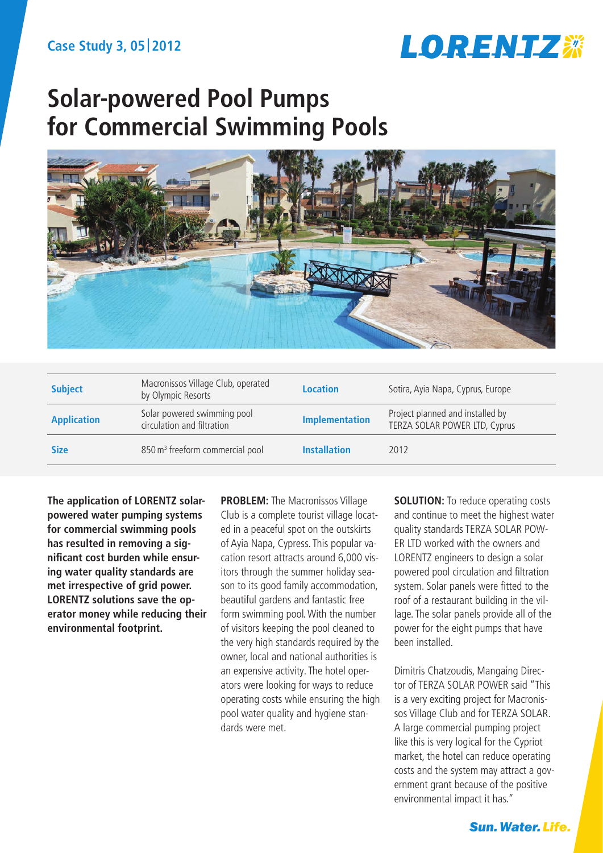

# **Solar-powered Pool Pumps for Commercial Swimming Pools**



| <b>Subject</b>     | Macronissos Village Club, operated<br>by Olympic Resorts  | <b>Location</b>       | Sotira, Ayia Napa, Cyprus, Europe                                 |
|--------------------|-----------------------------------------------------------|-----------------------|-------------------------------------------------------------------|
| <b>Application</b> | Solar powered swimming pool<br>circulation and filtration | <b>Implementation</b> | Project planned and installed by<br>TERZA SOLAR POWER LTD, Cyprus |
| <b>Size</b>        | 850 m <sup>3</sup> freeform commercial pool               | <b>Installation</b>   | 2012                                                              |

**The application of LORENTZ solarpowered water pumping systems for commercial swimming pools has resulted in removing a significant cost burden while ensuring water quality standards are met irrespective of grid power. LORENTZ solutions save the operator money while reducing their environmental footprint.**

**PROBLEM:** The Macronissos Village Club is a complete tourist village located in a peaceful spot on the outskirts of Ayia Napa, Cypress. This popular vacation resort attracts around 6,000 visitors through the summer holiday season to its good family accommodation, beautiful gardens and fantastic free form swimming pool. With the number of visitors keeping the pool cleaned to the very high standards required by the owner, local and national authorities is an expensive activity. The hotel operators were looking for ways to reduce operating costs while ensuring the high pool water quality and hygiene standards were met.

**SOLUTION:** To reduce operating costs and continue to meet the highest water quality standards TERZA SOLAR POW-ER LTD worked with the owners and LORENTZ engineers to design a solar powered pool circulation and filtration system. Solar panels were fitted to the roof of a restaurant building in the village. The solar panels provide all of the power for the eight pumps that have been installed.

Dimitris Chatzoudis, Mangaing Director of TERZA SOLAR POWER said "This is a very exciting project for Macronissos Village Club and for TERZA SOLAR. A large commercial pumping project like this is very logical for the Cypriot market, the hotel can reduce operating costs and the system may attract a government grant because of the positive environmental impact it has."

**Sun. Water. Life.**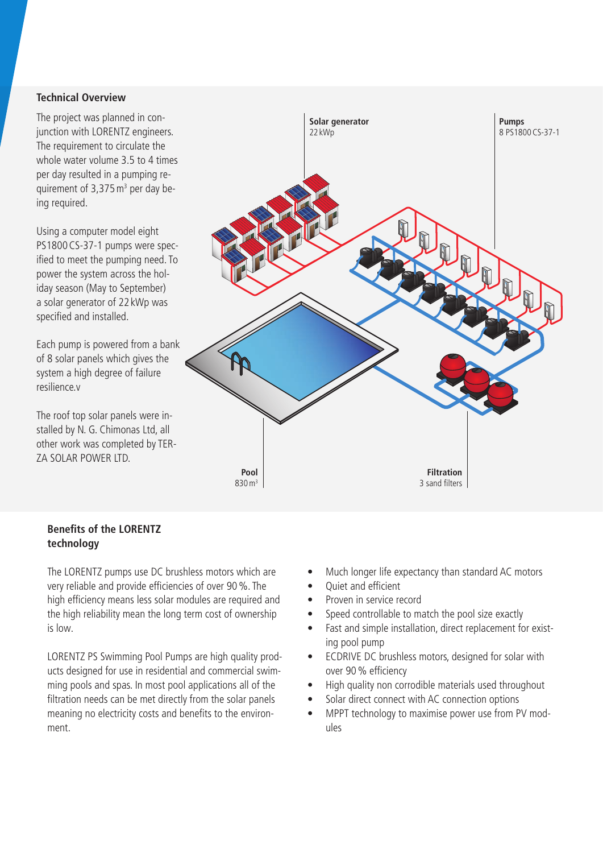#### **Technical Overview**

The project was planned in conjunction with LORENTZ engineers. The requirement to circulate the whole water volume 3.5 to 4 times per day resulted in a pumping requirement of  $3,375 \,\mathrm{m}^3$  per day being required.

Using a computer model eight PS1800CS-37-1 pumps were specified to meet the pumping need. To power the system across the holiday season (May to September) a solar generator of 22 kWp was specified and installed.

Each pump is powered from a bank of 8 solar panels which gives the system a high degree of failure resilience.v

The roof top solar panels were installed by N. G. Chimonas Ltd, all other work was completed by TER-ZA SOLAR POWER LTD.

![](_page_1_Figure_5.jpeg)

#### **Benefits of the LORENTZ technology**

The LORENTZ pumps use DC brushless motors which are very reliable and provide efficiencies of over 90%. The high efficiency means less solar modules are required and the high reliability mean the long term cost of ownership is low.

LORENTZ PS Swimming Pool Pumps are high quality products designed for use in residential and commercial swimming pools and spas. In most pool applications all of the filtration needs can be met directly from the solar panels meaning no electricity costs and benefits to the environment.

- Much longer life expectancy than standard AC motors
- Quiet and efficient
- Proven in service record
- Speed controllable to match the pool size exactly
- Fast and simple installation, direct replacement for existing pool pump
- ECDRIVE DC brushless motors, designed for solar with over 90% efficiency
- High quality non corrodible materials used throughout
- Solar direct connect with AC connection options
- MPPT technology to maximise power use from PV modules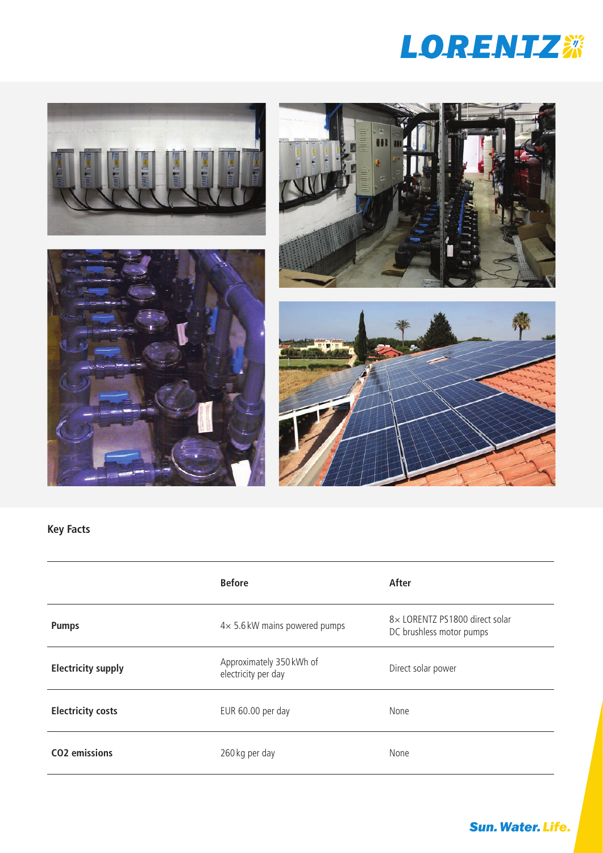![](_page_2_Picture_0.jpeg)

![](_page_2_Picture_1.jpeg)

![](_page_2_Picture_2.jpeg)

![](_page_2_Picture_3.jpeg)

![](_page_2_Picture_4.jpeg)

## **Key Facts**

|                           | <b>Before</b>                                   | After                                                      |
|---------------------------|-------------------------------------------------|------------------------------------------------------------|
| <b>Pumps</b>              | $4\times$ 5.6 kW mains powered pumps            | 8× LORENTZ PS1800 direct solar<br>DC brushless motor pumps |
| <b>Electricity supply</b> | Approximately 350 kWh of<br>electricity per day | Direct solar power                                         |
| <b>Electricity costs</b>  | EUR 60.00 per day                               | None                                                       |
| CO <sub>2</sub> emissions | 260 kg per day                                  | None                                                       |